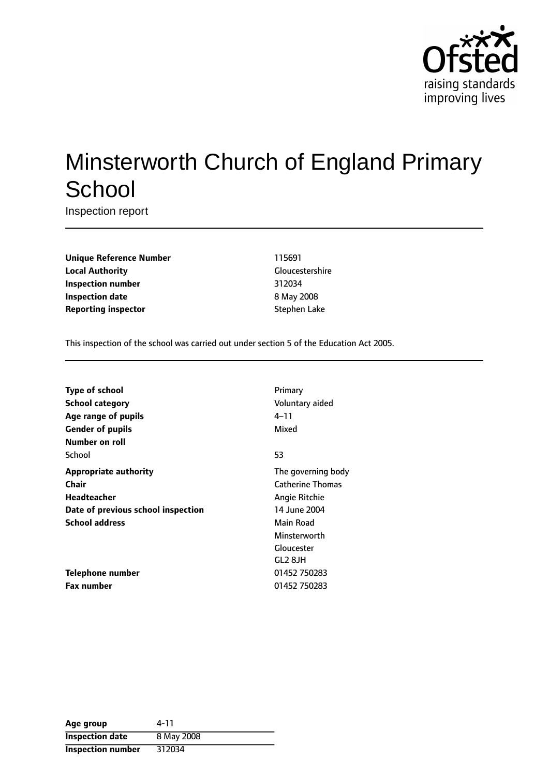

# Minsterworth Church of England Primary **School**

Inspection report

**Unique Reference Number** 115691 **Local Authority** Gloucestershire **Inspection number** 312034 **Inspection date** 8 May 2008 **Reporting inspector** Stephen Lake

This inspection of the school was carried out under section 5 of the Education Act 2005.

| <b>Type of school</b>              | Primary                 |
|------------------------------------|-------------------------|
| <b>School category</b>             | Voluntary aided         |
| Age range of pupils                | 4–11                    |
| <b>Gender of pupils</b>            | Mixed                   |
| Number on roll                     |                         |
| School                             | 53                      |
| <b>Appropriate authority</b>       | The governing body      |
| Chair                              | <b>Catherine Thomas</b> |
| <b>Headteacher</b>                 | Angie Ritchie           |
| Date of previous school inspection | 14 June 2004            |
| <b>School address</b>              | Main Road               |
|                                    | Minsterworth            |
|                                    | Gloucester              |
|                                    | GL <sub>2</sub> 8JH     |
| Telephone number                   | 01452 750283            |
| <b>Fax number</b>                  | 01452 750283            |

| Age group              | 4-11       |
|------------------------|------------|
| <b>Inspection date</b> | 8 May 2008 |
| Inspection number      | 312034     |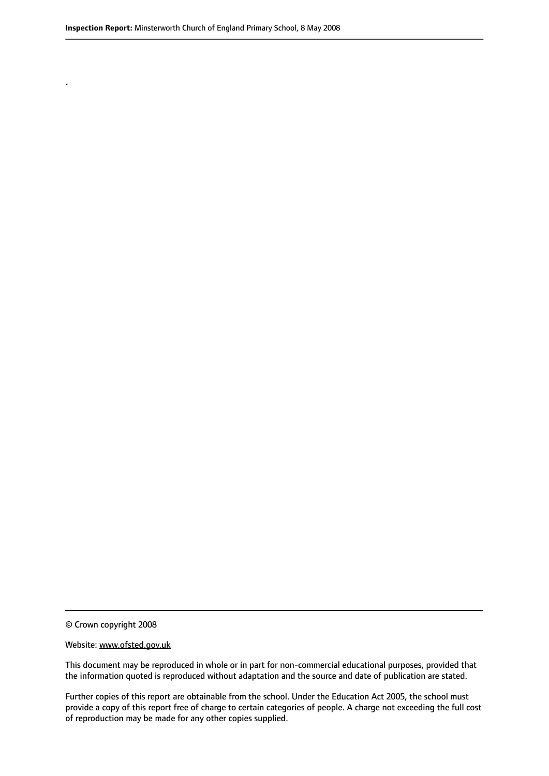.

© Crown copyright 2008

#### Website: www.ofsted.gov.uk

This document may be reproduced in whole or in part for non-commercial educational purposes, provided that the information quoted is reproduced without adaptation and the source and date of publication are stated.

Further copies of this report are obtainable from the school. Under the Education Act 2005, the school must provide a copy of this report free of charge to certain categories of people. A charge not exceeding the full cost of reproduction may be made for any other copies supplied.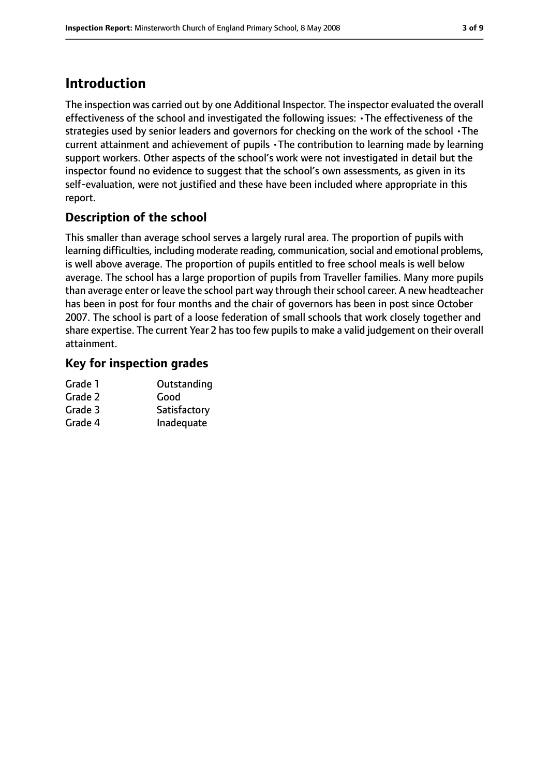# **Introduction**

The inspection was carried out by one Additional Inspector. The inspector evaluated the overall effectiveness of the school and investigated the following issues: •The effectiveness of the strategies used by senior leaders and governors for checking on the work of the school •The current attainment and achievement of pupils •The contribution to learning made by learning support workers. Other aspects of the school's work were not investigated in detail but the inspector found no evidence to suggest that the school's own assessments, as given in its self-evaluation, were not justified and these have been included where appropriate in this report.

### **Description of the school**

This smaller than average school serves a largely rural area. The proportion of pupils with learning difficulties, including moderate reading, communication, social and emotional problems, is well above average. The proportion of pupils entitled to free school meals is well below average. The school has a large proportion of pupils from Traveller families. Many more pupils than average enter or leave the school part way through theirschool career. A new headteacher has been in post for four months and the chair of governors has been in post since October 2007. The school is part of a loose federation of small schools that work closely together and share expertise. The current Year 2 has too few pupils to make a valid judgement on their overall attainment.

### **Key for inspection grades**

| Outstanding  |
|--------------|
| Good         |
| Satisfactory |
| Inadequate   |
|              |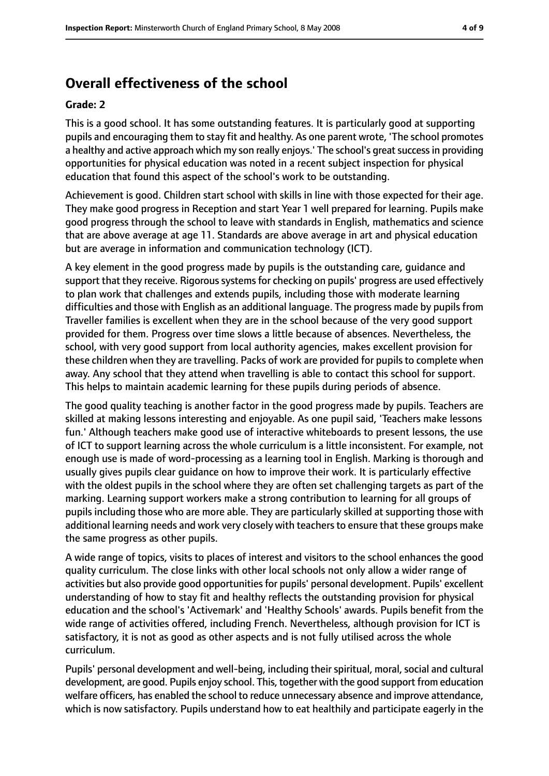# **Overall effectiveness of the school**

#### **Grade: 2**

This is a good school. It has some outstanding features. It is particularly good at supporting pupils and encouraging them to stay fit and healthy. As one parent wrote, 'The school promotes a healthy and active approach which my son really enjoys.' The school's great success in providing opportunities for physical education was noted in a recent subject inspection for physical education that found this aspect of the school's work to be outstanding.

Achievement is good. Children start school with skills in line with those expected for their age. They make good progress in Reception and start Year 1 well prepared for learning. Pupils make good progress through the school to leave with standards in English, mathematics and science that are above average at age 11. Standards are above average in art and physical education but are average in information and communication technology (ICT).

A key element in the good progress made by pupils is the outstanding care, guidance and support that they receive. Rigorous systems for checking on pupils' progress are used effectively to plan work that challenges and extends pupils, including those with moderate learning difficulties and those with English as an additional language. The progress made by pupils from Traveller families is excellent when they are in the school because of the very good support provided for them. Progress over time slows a little because of absences. Nevertheless, the school, with very good support from local authority agencies, makes excellent provision for these children when they are travelling. Packs of work are provided for pupils to complete when away. Any school that they attend when travelling is able to contact this school for support. This helps to maintain academic learning for these pupils during periods of absence.

The good quality teaching is another factor in the good progress made by pupils. Teachers are skilled at making lessons interesting and enjoyable. As one pupil said, 'Teachers make lessons fun.' Although teachers make good use of interactive whiteboards to present lessons, the use of ICT to support learning across the whole curriculum is a little inconsistent. For example, not enough use is made of word-processing as a learning tool in English. Marking is thorough and usually gives pupils clear guidance on how to improve their work. It is particularly effective with the oldest pupils in the school where they are often set challenging targets as part of the marking. Learning support workers make a strong contribution to learning for all groups of pupils including those who are more able. They are particularly skilled at supporting those with additional learning needs and work very closely with teachers to ensure that these groups make the same progress as other pupils.

A wide range of topics, visits to places of interest and visitors to the school enhances the good quality curriculum. The close links with other local schools not only allow a wider range of activities but also provide good opportunities for pupils' personal development. Pupils' excellent understanding of how to stay fit and healthy reflects the outstanding provision for physical education and the school's 'Activemark' and 'Healthy Schools' awards. Pupils benefit from the wide range of activities offered, including French. Nevertheless, although provision for ICT is satisfactory, it is not as good as other aspects and is not fully utilised across the whole curriculum.

Pupils' personal development and well-being, including their spiritual, moral, social and cultural development, are good. Pupils enjoy school. This, together with the good support from education welfare officers, has enabled the school to reduce unnecessary absence and improve attendance, which is now satisfactory. Pupils understand how to eat healthily and participate eagerly in the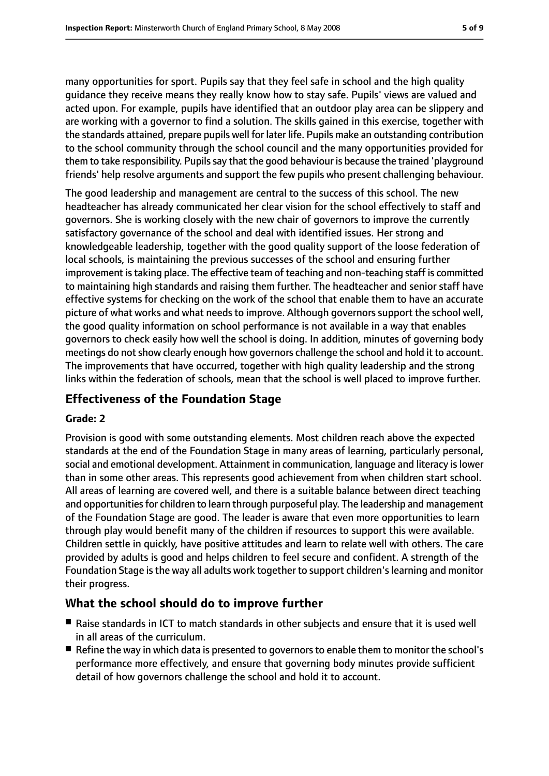many opportunities for sport. Pupils say that they feel safe in school and the high quality guidance they receive means they really know how to stay safe. Pupils' views are valued and acted upon. For example, pupils have identified that an outdoor play area can be slippery and are working with a governor to find a solution. The skills gained in this exercise, together with the standards attained, prepare pupils well for later life. Pupils make an outstanding contribution to the school community through the school council and the many opportunities provided for them to take responsibility. Pupils say that the good behaviour is because the trained 'playground friends' help resolve arguments and support the few pupils who present challenging behaviour.

The good leadership and management are central to the success of this school. The new headteacher has already communicated her clear vision for the school effectively to staff and governors. She is working closely with the new chair of governors to improve the currently satisfactory governance of the school and deal with identified issues. Her strong and knowledgeable leadership, together with the good quality support of the loose federation of local schools, is maintaining the previous successes of the school and ensuring further improvement is taking place. The effective team of teaching and non-teaching staff is committed to maintaining high standards and raising them further. The headteacher and senior staff have effective systems for checking on the work of the school that enable them to have an accurate picture of what works and what needs to improve. Although governors support the school well, the good quality information on school performance is not available in a way that enables governors to check easily how well the school is doing. In addition, minutes of governing body meetings do not show clearly enough how governors challenge the school and hold it to account. The improvements that have occurred, together with high quality leadership and the strong links within the federation of schools, mean that the school is well placed to improve further.

### **Effectiveness of the Foundation Stage**

#### **Grade: 2**

Provision is good with some outstanding elements. Most children reach above the expected standards at the end of the Foundation Stage in many areas of learning, particularly personal, social and emotional development. Attainment in communication, language and literacy islower than in some other areas. This represents good achievement from when children start school. All areas of learning are covered well, and there is a suitable balance between direct teaching and opportunities for children to learn through purposeful play. The leadership and management of the Foundation Stage are good. The leader is aware that even more opportunities to learn through play would benefit many of the children if resources to support this were available. Children settle in quickly, have positive attitudes and learn to relate well with others. The care provided by adults is good and helps children to feel secure and confident. A strength of the Foundation Stage isthe way all adults work together to support children'slearning and monitor their progress.

### **What the school should do to improve further**

- Raise standards in ICT to match standards in other subjects and ensure that it is used well in all areas of the curriculum.
- Refine the way in which data is presented to governors to enable them to monitor the school's performance more effectively, and ensure that governing body minutes provide sufficient detail of how governors challenge the school and hold it to account.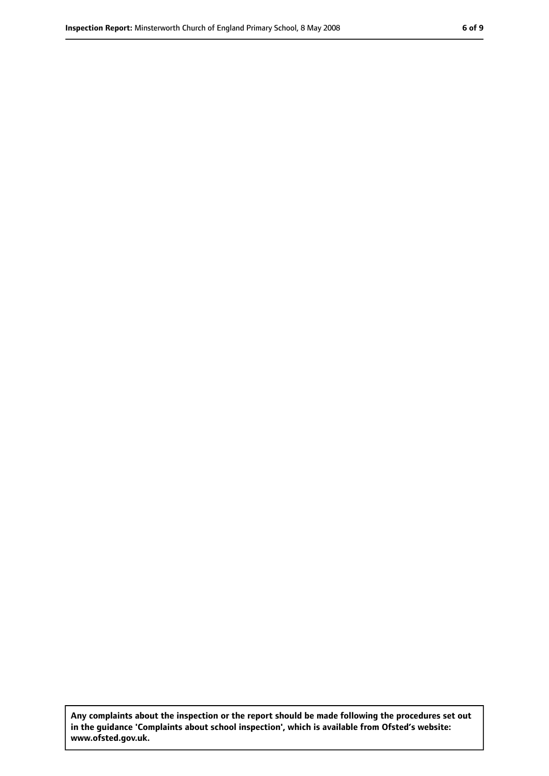**Any complaints about the inspection or the report should be made following the procedures set out in the guidance 'Complaints about school inspection', which is available from Ofsted's website: www.ofsted.gov.uk.**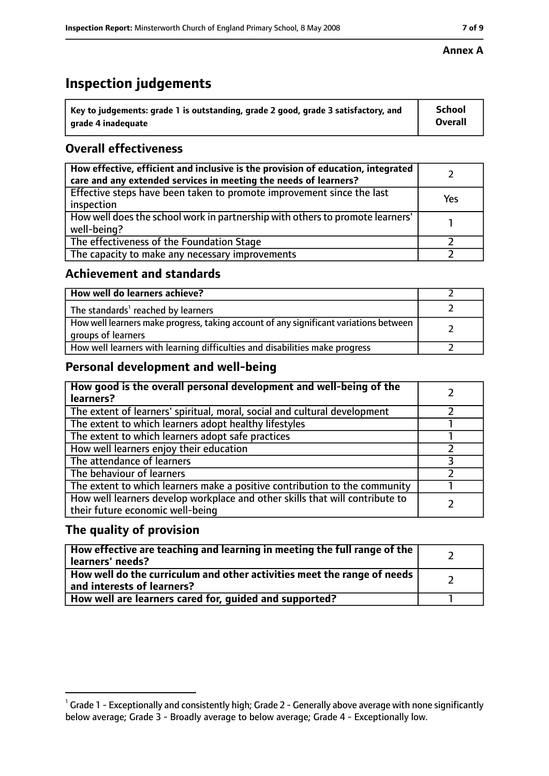# **Inspection judgements**

| $^{\backprime}$ Key to judgements: grade 1 is outstanding, grade 2 good, grade 3 satisfactory, and | <b>School</b>  |
|----------------------------------------------------------------------------------------------------|----------------|
| arade 4 inadeguate                                                                                 | <b>Overall</b> |

### **Overall effectiveness**

| How effective, efficient and inclusive is the provision of education, integrated<br>care and any extended services in meeting the needs of learners? |     |
|------------------------------------------------------------------------------------------------------------------------------------------------------|-----|
| Effective steps have been taken to promote improvement since the last<br>inspection                                                                  | Yes |
| How well does the school work in partnership with others to promote learners'<br>well-being?                                                         |     |
| The effectiveness of the Foundation Stage                                                                                                            |     |
| The capacity to make any necessary improvements                                                                                                      |     |

### **Achievement and standards**

| How well do learners achieve?                                                                               |  |
|-------------------------------------------------------------------------------------------------------------|--|
| The standards <sup>1</sup> reached by learners                                                              |  |
| How well learners make progress, taking account of any significant variations between<br>groups of learners |  |
| How well learners with learning difficulties and disabilities make progress                                 |  |

### **Personal development and well-being**

| How good is the overall personal development and well-being of the<br>learners?                                  |  |
|------------------------------------------------------------------------------------------------------------------|--|
| The extent of learners' spiritual, moral, social and cultural development                                        |  |
| The extent to which learners adopt healthy lifestyles                                                            |  |
| The extent to which learners adopt safe practices                                                                |  |
| How well learners enjoy their education                                                                          |  |
| The attendance of learners                                                                                       |  |
| The behaviour of learners                                                                                        |  |
| The extent to which learners make a positive contribution to the community                                       |  |
| How well learners develop workplace and other skills that will contribute to<br>their future economic well-being |  |

### **The quality of provision**

| How effective are teaching and learning in meeting the full range of the<br>learners' needs?          |  |
|-------------------------------------------------------------------------------------------------------|--|
| How well do the curriculum and other activities meet the range of needs<br>and interests of learners? |  |
| How well are learners cared for, quided and supported?                                                |  |

### **Annex A**

 $^1$  Grade 1 - Exceptionally and consistently high; Grade 2 - Generally above average with none significantly below average; Grade 3 - Broadly average to below average; Grade 4 - Exceptionally low.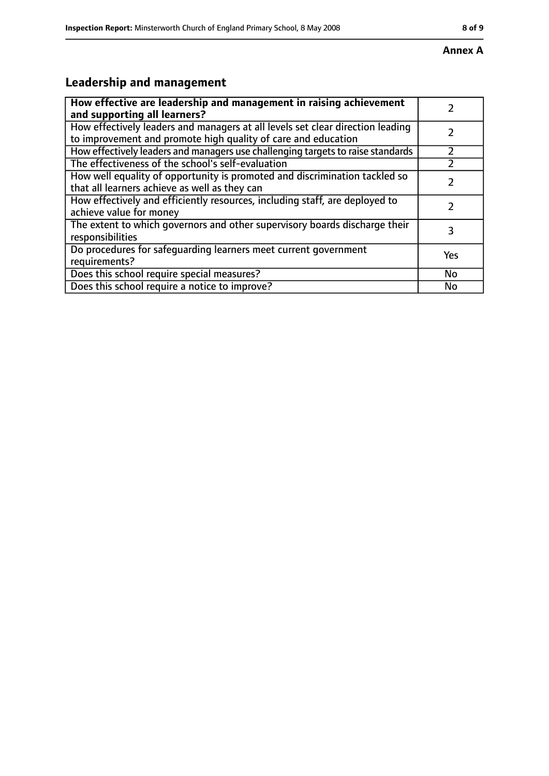# **Leadership and management**

| How effective are leadership and management in raising achievement                                                                              |           |
|-------------------------------------------------------------------------------------------------------------------------------------------------|-----------|
| and supporting all learners?                                                                                                                    |           |
| How effectively leaders and managers at all levels set clear direction leading<br>to improvement and promote high quality of care and education |           |
|                                                                                                                                                 |           |
| How effectively leaders and managers use challenging targets to raise standards                                                                 |           |
| The effectiveness of the school's self-evaluation                                                                                               |           |
| How well equality of opportunity is promoted and discrimination tackled so                                                                      |           |
| that all learners achieve as well as they can                                                                                                   |           |
| How effectively and efficiently resources, including staff, are deployed to                                                                     | 7         |
| achieve value for money                                                                                                                         |           |
| The extent to which governors and other supervisory boards discharge their                                                                      | 3         |
| responsibilities                                                                                                                                |           |
| Do procedures for safequarding learners meet current government                                                                                 | Yes       |
| requirements?                                                                                                                                   |           |
| Does this school require special measures?                                                                                                      | <b>No</b> |
| Does this school require a notice to improve?                                                                                                   | No        |